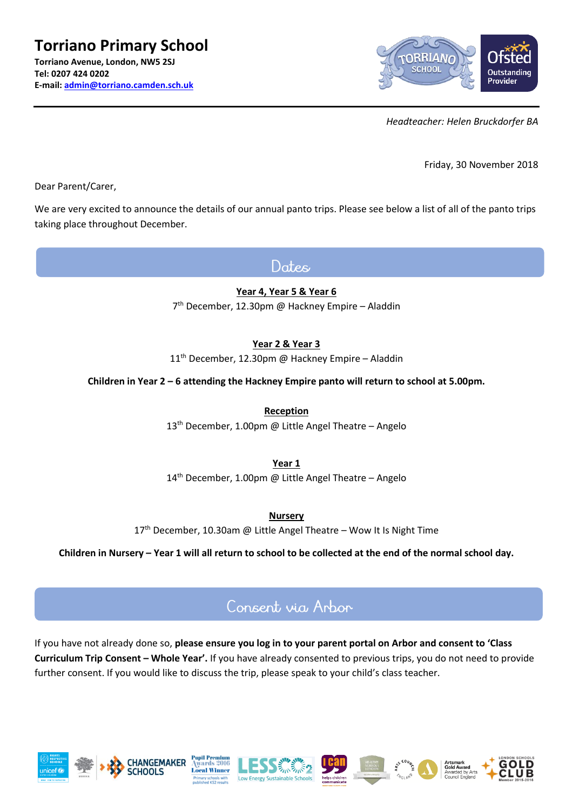

*Headteacher: Helen Bruckdorfer BA*

Friday, 30 November 2018

Dear Parent/Carer,

We are very excited to announce the details of our annual panto trips. Please see below a list of all of the panto trips taking place throughout December.

Dates

**Year 4, Year 5 & Year 6**

7 th December, 12.30pm @ Hackney Empire – Aladdin

**Year 2 & Year 3**

 $11<sup>th</sup>$  December, 12.30pm @ Hackney Empire – Aladdin

**Children in Year 2 – 6 attending the Hackney Empire panto will return to school at 5.00pm.** 

**Reception**

13<sup>th</sup> December, 1.00pm @ Little Angel Theatre - Angelo

**Year 1**

14th December, 1.00pm @ Little Angel Theatre – Angelo

**Nursery**

17<sup>th</sup> December, 10.30am @ Little Angel Theatre – Wow It Is Night Time

**Children in Nursery – Year 1 will all return to school to be collected at the end of the normal school day.**

## Consent wia Arbor

If you have not already done so, **please ensure you log in to your parent portal on Arbor and consent to 'Class Curriculum Trip Consent – Whole Year'.** If you have already consented to previous trips, you do not need to provide further consent. If you would like to discuss the trip, please speak to your child's class teacher.